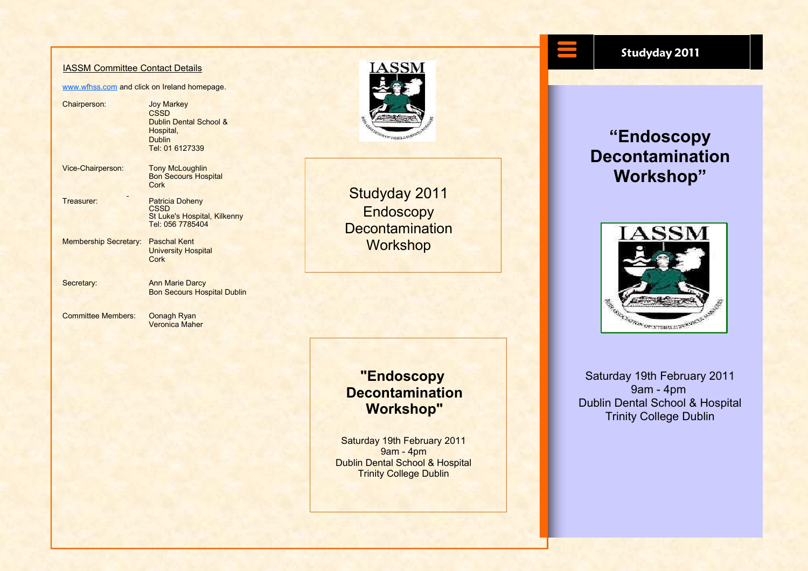#### IASSM Committee Contact Details

#### www.wfhss.com and click on Ireland homepage.

Chairperson: Joy Markey **CSSD** Dublin Dental School & Hospital, Dublin Tel: 01 6127339

Vice-Chairperson: Tony McLoughlin Bon Secours Hospital **Cork** 

- Treasurer: Patricia Doheny **CSSD** St Luke's Hospital, Kilkenny Tel: 056 7785404
- Membership Secretary: Paschal Kent University Hospital **Cork**
- Secretary: Ann Marie Darcy

Bon Secours Hospital Dublin

Committee Members: Oonagh Ryan Veronica Maher



Studyday 2011 **Endoscopy Decontamination Workshop** 

### **"Endoscopy Decontamination Workshop"**

Saturday 19th February 2011 9am - 4pm Dublin Dental School & Hospital Trinity College Dublin

#### **Studyday 2011**

### **"Endoscopy Decontamination Workshop"**



Saturday 19th February 2011 9am - 4pm Dublin Dental School & Hospital Trinity College Dublin